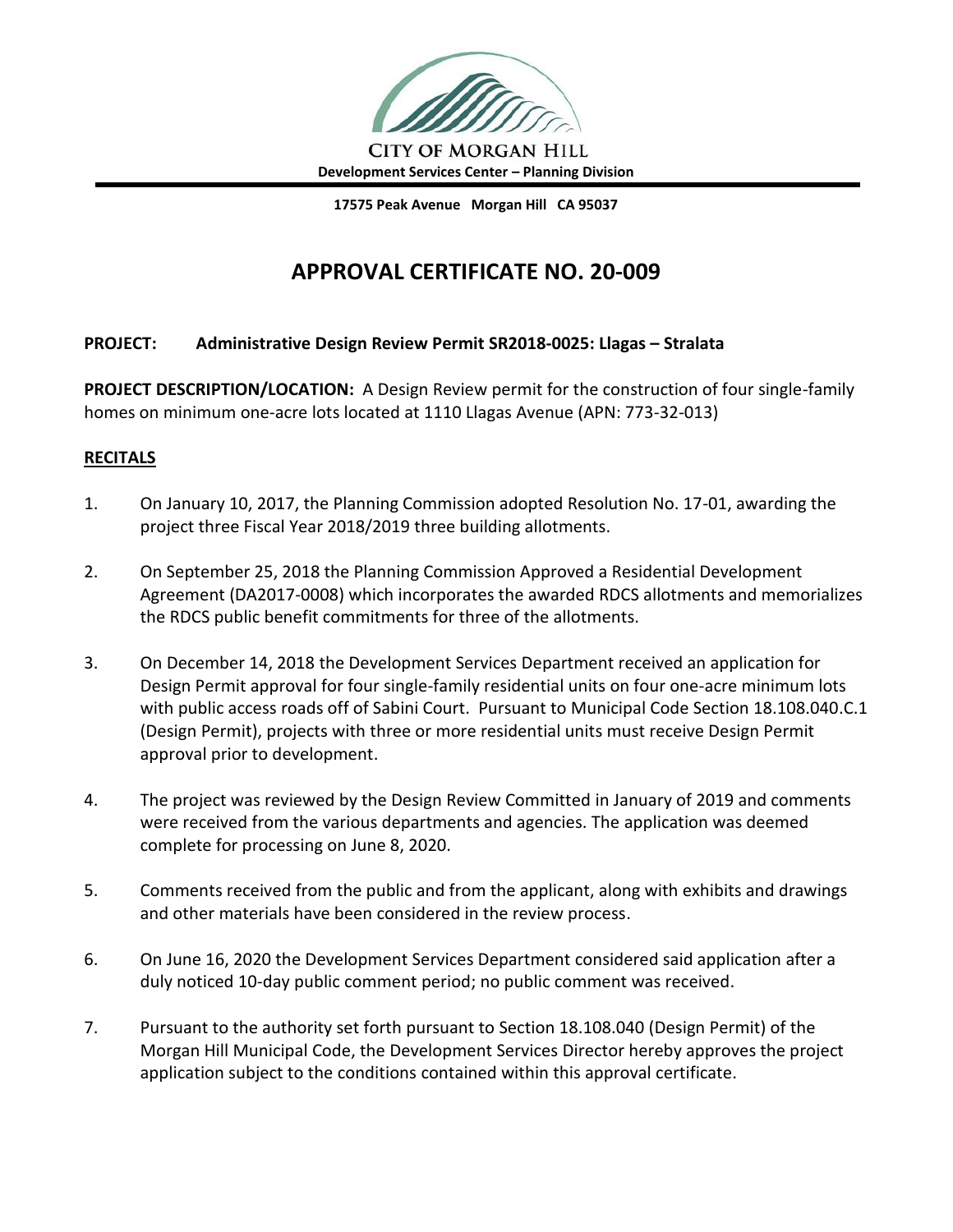

**17575 Peak Avenue Morgan Hill CA 95037**

# **APPROVAL CERTIFICATE NO. 20-009**

### **PROJECT: Administrative Design Review Permit SR2018-0025: Llagas – Stralata**

**PROJECT DESCRIPTION/LOCATION:** A Design Review permit for the construction of four single-family homes on minimum one-acre lots located at 1110 Llagas Avenue (APN: 773-32-013)

### **RECITALS**

- 1. On January 10, 2017, the Planning Commission adopted Resolution No. 17-01, awarding the project three Fiscal Year 2018/2019 three building allotments.
- 2. On September 25, 2018 the Planning Commission Approved a Residential Development Agreement (DA2017-0008) which incorporates the awarded RDCS allotments and memorializes the RDCS public benefit commitments for three of the allotments.
- 3. On December 14, 2018 the Development Services Department received an application for Design Permit approval for four single-family residential units on four one-acre minimum lots with public access roads off of Sabini Court. Pursuant to Municipal Code Section 18.108.040.C.1 (Design Permit), projects with three or more residential units must receive Design Permit approval prior to development.
- 4. The project was reviewed by the Design Review Committed in January of 2019 and comments were received from the various departments and agencies. The application was deemed complete for processing on June 8, 2020.
- 5. Comments received from the public and from the applicant, along with exhibits and drawings and other materials have been considered in the review process.
- 6. On June 16, 2020 the Development Services Department considered said application after a duly noticed 10-day public comment period; no public comment was received.
- 7. Pursuant to the authority set forth pursuant to Section 18.108.040 (Design Permit) of the Morgan Hill Municipal Code, the Development Services Director hereby approves the project application subject to the conditions contained within this approval certificate.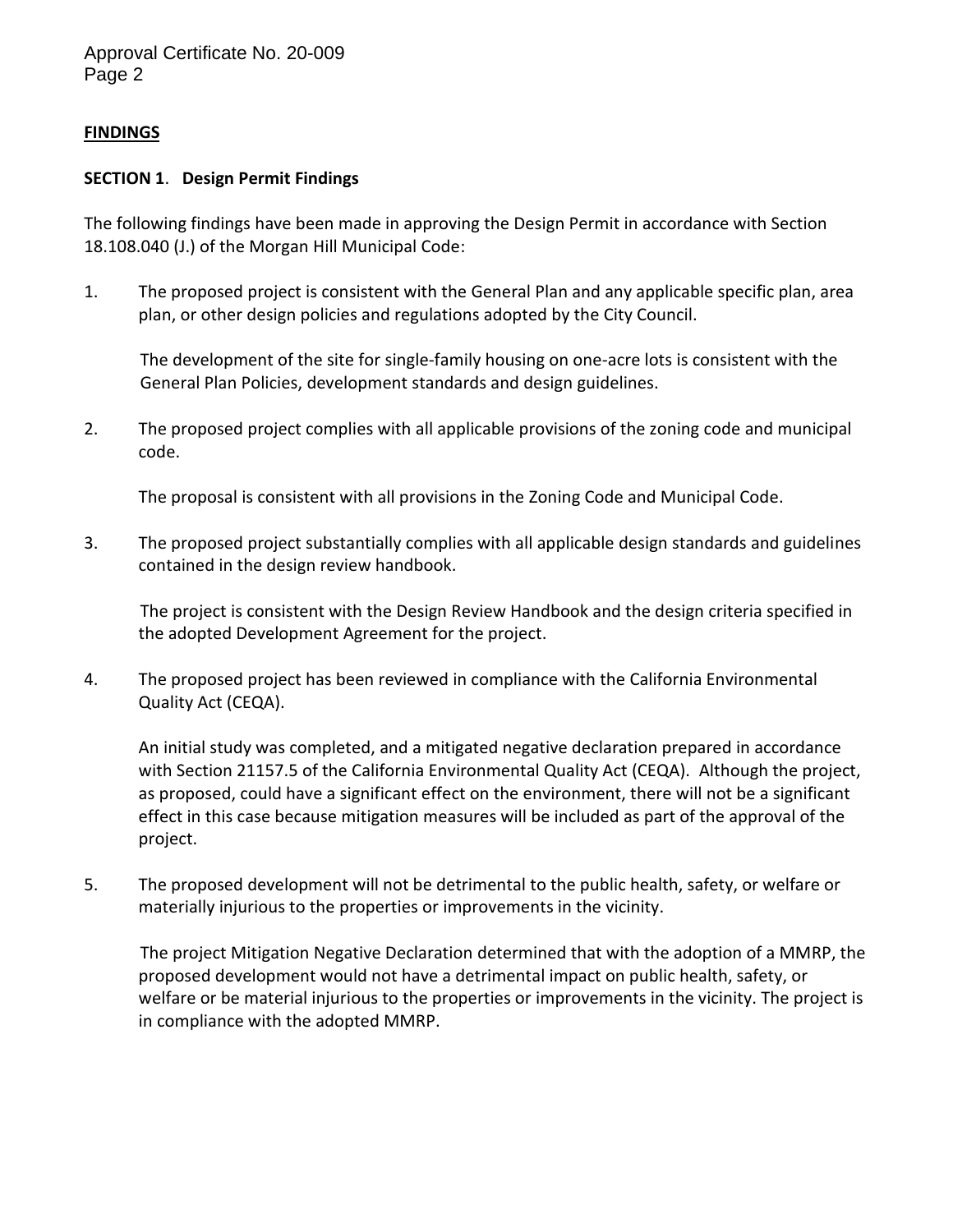Approval Certificate No. 20-009 Page 2

### **FINDINGS**

#### **SECTION 1**. **Design Permit Findings**

The following findings have been made in approving the Design Permit in accordance with Section 18.108.040 (J.) of the Morgan Hill Municipal Code:

1. The proposed project is consistent with the General Plan and any applicable specific plan, area plan, or other design policies and regulations adopted by the City Council.

The development of the site for single-family housing on one-acre lots is consistent with the General Plan Policies, development standards and design guidelines.

2. The proposed project complies with all applicable provisions of the zoning code and municipal code.

The proposal is consistent with all provisions in the Zoning Code and Municipal Code.

3. The proposed project substantially complies with all applicable design standards and guidelines contained in the design review handbook.

The project is consistent with the Design Review Handbook and the design criteria specified in the adopted Development Agreement for the project.

4. The proposed project has been reviewed in compliance with the California Environmental Quality Act (CEQA).

An initial study was completed, and a mitigated negative declaration prepared in accordance with Section 21157.5 of the California Environmental Quality Act (CEQA). Although the project, as proposed, could have a significant effect on the environment, there will not be a significant effect in this case because mitigation measures will be included as part of the approval of the project.

5. The proposed development will not be detrimental to the public health, safety, or welfare or materially injurious to the properties or improvements in the vicinity.

The project Mitigation Negative Declaration determined that with the adoption of a MMRP, the proposed development would not have a detrimental impact on public health, safety, or welfare or be material injurious to the properties or improvements in the vicinity. The project is in compliance with the adopted MMRP.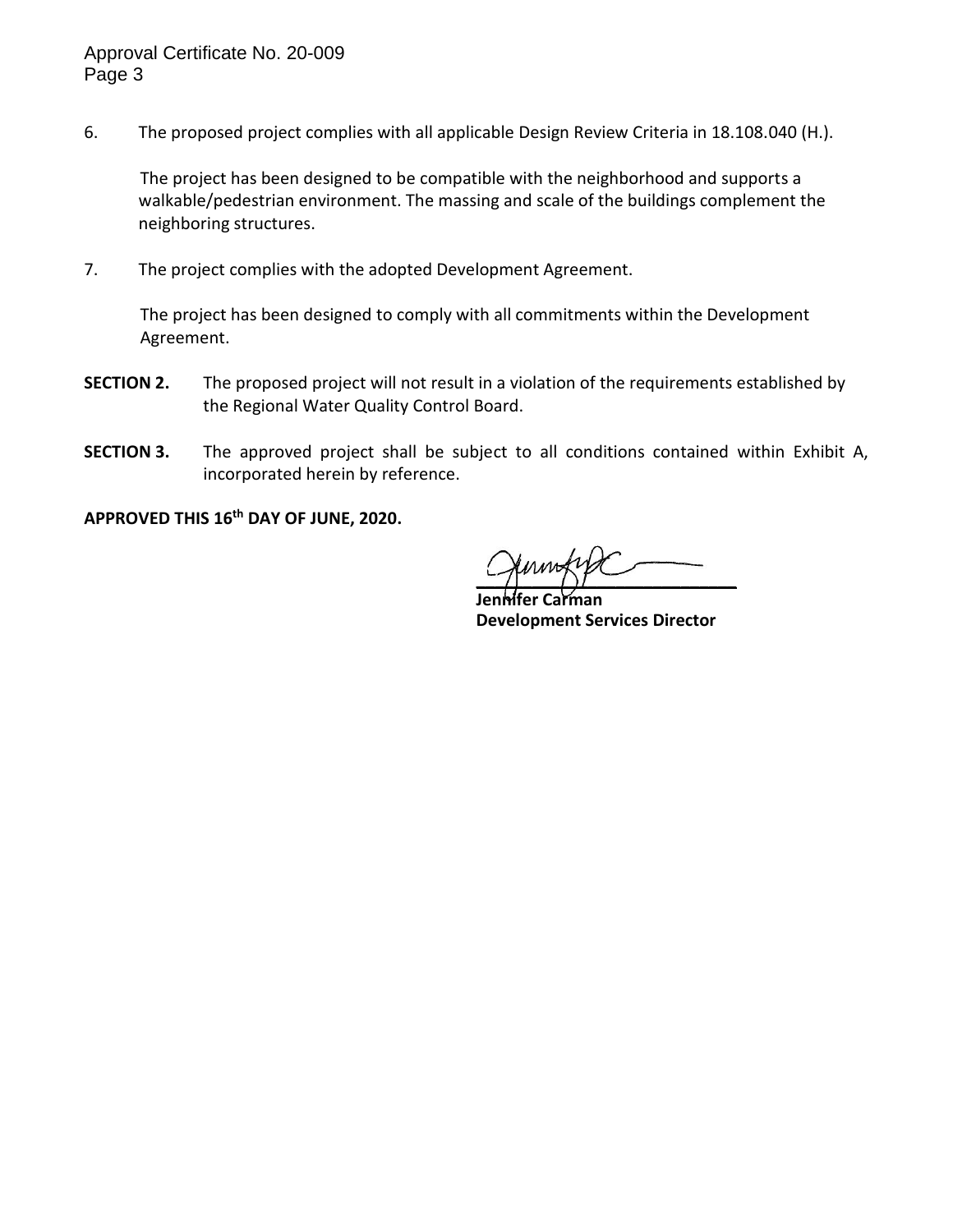6. The proposed project complies with all applicable Design Review Criteria in 18.108.040 (H.).

The project has been designed to be compatible with the neighborhood and supports a walkable/pedestrian environment. The massing and scale of the buildings complement the neighboring structures.

7. The project complies with the adopted Development Agreement.

The project has been designed to comply with all commitments within the Development Agreement.

- **SECTION 2.** The proposed project will not result in a violation of the requirements established by the Regional Water Quality Control Board.
- **SECTION 3.** The approved project shall be subject to all conditions contained within Exhibit A, incorporated herein by reference.

**APPROVED THIS 16th DAY OF JUNE, 2020.**

 $\gamma$   $\gamma$   $\gamma$   $\sim$ 

**Jennifer Carman Development Services Director**